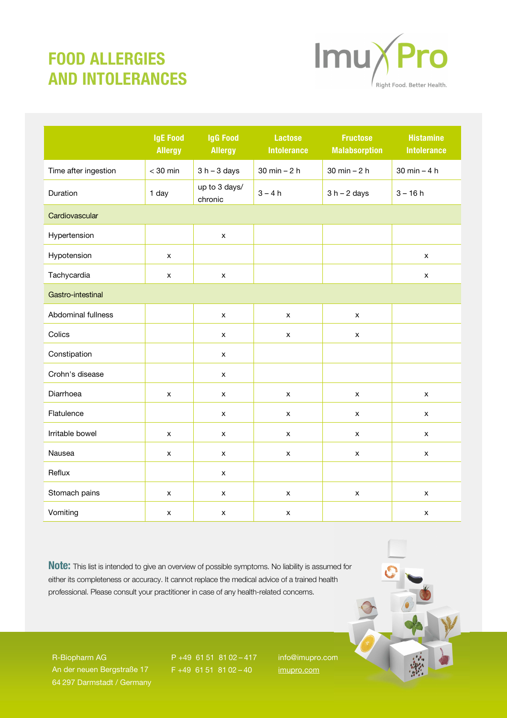## FOOD ALLERGIES AND INTOLERANCES



|                      | <b>IgE Food</b><br><b>Allergy</b> | <b>IgG Food</b><br><b>Allergy</b> | <b>Lactose</b><br><b>Intolerance</b> | <b>Fructose</b><br><b>Malabsorption</b> | <b>Histamine</b><br><b>Intolerance</b> |  |  |
|----------------------|-----------------------------------|-----------------------------------|--------------------------------------|-----------------------------------------|----------------------------------------|--|--|
| Time after ingestion | $<$ 30 min                        | $3 h - 3 days$                    | $30$ min $-2$ h                      | $30 \text{ min} - 2 \text{ h}$          | 30 min $-4 h$                          |  |  |
| Duration             | 1 day                             | up to 3 days/<br>chronic          | $3 - 4h$                             | $3 h - 2 days$                          | $3 - 16h$                              |  |  |
| Cardiovascular       |                                   |                                   |                                      |                                         |                                        |  |  |
| Hypertension         |                                   | $\pmb{\times}$                    |                                      |                                         |                                        |  |  |
| Hypotension          | x                                 |                                   |                                      |                                         | $\pmb{\mathsf{x}}$                     |  |  |
| Tachycardia          | x                                 | $\pmb{\mathsf{x}}$                |                                      |                                         | $\pmb{\times}$                         |  |  |
| Gastro-intestinal    |                                   |                                   |                                      |                                         |                                        |  |  |
| Abdominal fullness   |                                   | $\pmb{\mathsf{x}}$                | $\pmb{\times}$                       | $\pmb{\mathsf{x}}$                      |                                        |  |  |
| Colics               |                                   | $\pmb{\mathsf{x}}$                | $\pmb{\times}$                       | $\mathsf X$                             |                                        |  |  |
| Constipation         |                                   | x                                 |                                      |                                         |                                        |  |  |
| Crohn's disease      |                                   | $\pmb{\mathsf{x}}$                |                                      |                                         |                                        |  |  |
| Diarrhoea            | x                                 | $\pmb{\mathsf{x}}$                | x                                    | x                                       | $\pmb{\times}$                         |  |  |
| Flatulence           |                                   | $\pmb{\mathsf{x}}$                | x                                    | $\mathsf X$                             | $\pmb{\times}$                         |  |  |
| Irritable bowel      | x                                 | $\pmb{\mathsf{x}}$                | X                                    | X                                       | X                                      |  |  |
| Nausea               | x                                 | x                                 | $\pmb{\times}$                       | $\pmb{\mathsf{x}}$                      | $\pmb{\mathsf{x}}$                     |  |  |
| Reflux               |                                   | X                                 |                                      |                                         |                                        |  |  |
| Stomach pains        | x                                 | x                                 | x                                    | $\pmb{\times}$                          | X                                      |  |  |
| Vomiting             | x                                 | x                                 | x                                    |                                         | $\pmb{\times}$                         |  |  |

Note: This list is intended to give an overview of possible symptoms. No liability is assumed for either its completeness or accuracy. It cannot replace the medical advice of a trained health professional. Please consult your practitioner in case of any health-related concerns.

R-Biopharm AG An der neuen Bergstraße 17 64 297 Darmstadt / Germany

P +49 61 51 81 02 – 417  $F + 4961518102 - 40$ 

info@imupro.com imupro.com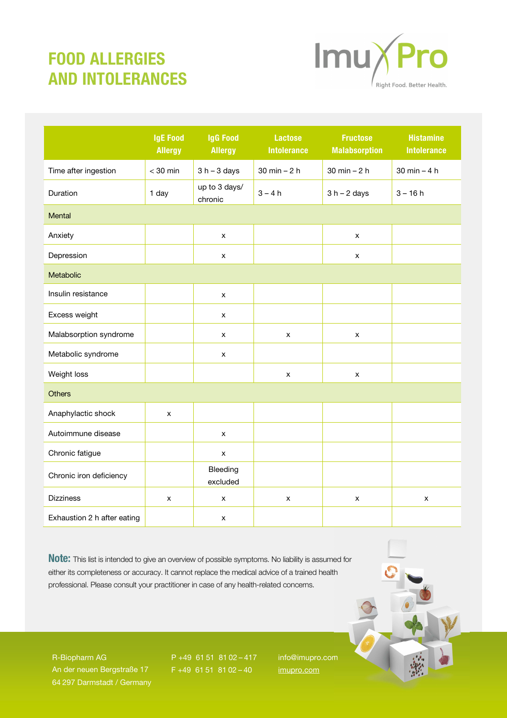## FOOD ALLERGIES AND INTOLERANCES



|                             | <b>IgE Food</b><br><b>Allergy</b> | <b>IgG Food</b><br><b>Allergy</b> | <b>Lactose</b><br><b>Intolerance</b> | <b>Fructose</b><br><b>Malabsorption</b> | <b>Histamine</b><br><b>Intolerance</b> |  |  |
|-----------------------------|-----------------------------------|-----------------------------------|--------------------------------------|-----------------------------------------|----------------------------------------|--|--|
| Time after ingestion        | $<$ 30 min                        | $3 h - 3 days$                    | $30 \text{ min} - 2 \text{ h}$       | $30$ min $-2$ h                         | $30$ min $-4$ h                        |  |  |
| Duration                    | 1 day                             | up to 3 days/<br>chronic          | $3 - 4h$                             | $3 h - 2 days$                          | $3 - 16h$                              |  |  |
| Mental                      |                                   |                                   |                                      |                                         |                                        |  |  |
| Anxiety                     |                                   | x                                 |                                      | x                                       |                                        |  |  |
| Depression                  |                                   | X                                 |                                      | x                                       |                                        |  |  |
| Metabolic                   |                                   |                                   |                                      |                                         |                                        |  |  |
| Insulin resistance          |                                   | X                                 |                                      |                                         |                                        |  |  |
| Excess weight               |                                   | x                                 |                                      |                                         |                                        |  |  |
| Malabsorption syndrome      |                                   | $\mathsf X$                       | X                                    | x                                       |                                        |  |  |
| Metabolic syndrome          |                                   | $\pmb{\mathsf{x}}$                |                                      |                                         |                                        |  |  |
| Weight loss                 |                                   |                                   | x                                    | X                                       |                                        |  |  |
| <b>Others</b>               |                                   |                                   |                                      |                                         |                                        |  |  |
| Anaphylactic shock          | X                                 |                                   |                                      |                                         |                                        |  |  |
| Autoimmune disease          |                                   | X                                 |                                      |                                         |                                        |  |  |
| Chronic fatigue             |                                   | $\pmb{\mathsf{x}}$                |                                      |                                         |                                        |  |  |
| Chronic iron deficiency     |                                   | Bleeding<br>excluded              |                                      |                                         |                                        |  |  |
| <b>Dizziness</b>            | x                                 | x                                 | $\pmb{\times}$                       | $\pmb{\times}$                          | $\pmb{\times}$                         |  |  |
| Exhaustion 2 h after eating |                                   | x                                 |                                      |                                         |                                        |  |  |

Note: This list is intended to give an overview of possible symptoms. No liability is assumed for either its completeness or accuracy. It cannot replace the medical advice of a trained health professional. Please consult your practitioner in case of any health-related concerns.

R-Biopharm AG An der neuen Bergstraße 17 64 297 Darmstadt / Germany

P +49 61 51 81 02 – 417  $F + 4961518102 - 40$ 

info@imupro.com imupro.com